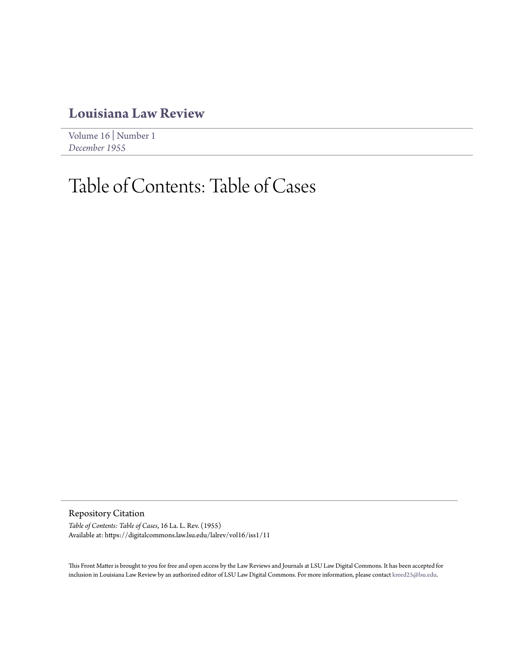## **[Louisiana Law Review](https://digitalcommons.law.lsu.edu/lalrev)**

[Volume 16](https://digitalcommons.law.lsu.edu/lalrev/vol16) | [Number 1](https://digitalcommons.law.lsu.edu/lalrev/vol16/iss1) *[December 1955](https://digitalcommons.law.lsu.edu/lalrev/vol16/iss1)*

## Table of Contents: Table of Cases

Repository Citation

*Table of Contents: Table of Cases*, 16 La. L. Rev. (1955) Available at: https://digitalcommons.law.lsu.edu/lalrev/vol16/iss1/11

This Front Matter is brought to you for free and open access by the Law Reviews and Journals at LSU Law Digital Commons. It has been accepted for inclusion in Louisiana Law Review by an authorized editor of LSU Law Digital Commons. For more information, please contact [kreed25@lsu.edu](mailto:kreed25@lsu.edu).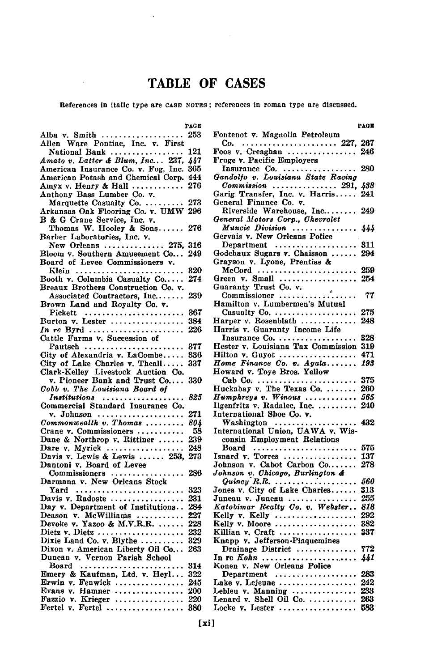## TABLE OF **CASES**

References In Italic type are cAsE **NOTES ;** references in roman type are discussed.

|                                                                                                      | PAGE |
|------------------------------------------------------------------------------------------------------|------|
| Alba v. Smith                                                                                        | 253  |
| Allen Ware Pontiac, Inc. v. First                                                                    |      |
|                                                                                                      | 121  |
| National Bank                                                                                        |      |
| Amato v. Latter & Blum, Inc 237,<br>American Insurance Co. v. Fog, Inc.                              | 447  |
|                                                                                                      | 365  |
| American Potash and Chemical Corp.                                                                   | 444  |
|                                                                                                      | 276  |
| Amyx v. Henry & Hall                                                                                 |      |
| Anthony Bass Lumber Co. v.                                                                           |      |
| Marquette Casualty Co.                                                                               | 273  |
| Arkansas Oak Flooring Co. v. UMW                                                                     | 296  |
| B & G Crane Service, Inc. v.<br>Thomas W. Hooley & Sons<br>Barber Laboratories, Inc. v.              |      |
|                                                                                                      | 276  |
|                                                                                                      |      |
|                                                                                                      |      |
| New Orleans  275,                                                                                    | 316  |
| Bloom v. Southern Amusement Co                                                                       | 249  |
| Board of Levee Commissioners v.                                                                      |      |
|                                                                                                      |      |
| Klein                                                                                                | 320  |
| Booth v. Columbia Casualty Co                                                                        | 274  |
| Breaux Brothers Construction Co. v.                                                                  |      |
| Associated Contractors, Inc                                                                          | 239  |
| Brown Land and Royalty Co. v.                                                                        |      |
|                                                                                                      |      |
| Pickett<br>Burton v. Lester                                                                          | 367  |
|                                                                                                      | 384  |
| In re Byrd                                                                                           | 226  |
| Cattle Farms v. Succession of                                                                        |      |
|                                                                                                      | 377  |
| Pautsch                                                                                              |      |
| City of Alexandria v. LaCombe                                                                        | 336  |
|                                                                                                      | 337  |
| City of Lake Charles v. Theall<br>Clark-Kelley Livestock Auction Co.<br>v. Pioneer Bank and Trust Co |      |
|                                                                                                      | 330  |
| Cobb v. The Louisiana Board of                                                                       |      |
|                                                                                                      |      |
| Institutions                                                                                         | 825  |
| Commercial Standard Insurance Co.                                                                    |      |
| v. Johnson                                                                                           | 271  |
| Commonwealth v. Thomas                                                                               | 804  |
| Crane v. Commissioners                                                                               | 58   |
|                                                                                                      |      |
| Dane & Northrop v. Rittiner $\ldots$ .                                                               | 239  |
| Dare v. Myrick $\ldots$                                                                              | 248  |
| Davis v. Lewis & Lewis  253,                                                                         | 273  |
| Dantoni v. Board of Levee                                                                            |      |
| Commissioners                                                                                        | 286  |
|                                                                                                      |      |
| Darmana v. New Orleans Stock                                                                         |      |
|                                                                                                      | 323  |
|                                                                                                      | 231  |
| Day v. Department of Institutions                                                                    | 284  |
|                                                                                                      | 227  |
| Deason v. McWilliams<br>Devoke v. Yazoo & M.V.R.R.                                                   |      |
|                                                                                                      | 228  |
| $\text{Dietz v.}\n$ Dietz                                                                            | 232  |
| Dixie Land Co. v. Blythe                                                                             | 329  |
| Dixon v. American Liberty Oil Co                                                                     | 263  |
| Duncan v. Vernon Parish School                                                                       |      |
|                                                                                                      |      |
|                                                                                                      | 314  |
| Emery & Kaufman, Ltd. v. Heyl                                                                        | 322  |
| Erwin v. Fenwick                                                                                     | 245  |
| Evans v. Hamner                                                                                      | 200  |
|                                                                                                      | 220  |
| Fazzio v. Krieger<br>Fertel v. Fertel                                                                | 380  |
|                                                                                                      |      |
|                                                                                                      |      |

 $\bar{\mathcal{A}}$ 

|                                                                           | PAGE |
|---------------------------------------------------------------------------|------|
| Fontenot v. Magnolia Petroleum                                            |      |
| $Co.$ 227,                                                                | 267  |
| Foos $v.$ Creaghan $\ldots \ldots \ldots \ldots$                          | 246  |
| Fruge v. Pacific Employers                                                |      |
|                                                                           | 280  |
|                                                                           |      |
|                                                                           |      |
| Commission  291, 438<br>Garig Transfer, Inc. v. Harris 241                |      |
| General Finance Co. v.                                                    |      |
| Riverside Warehouse, Inc 249                                              |      |
|                                                                           |      |
| General Motors Corp., Chevrolet                                           |      |
| Muncie Division                                                           | 444  |
| Gervais v. New Orleans Police                                             |      |
| Department<br>Godchaux Sugars v. Chaisson<br>Grayson v. Lyone, Prentiss & | 311  |
|                                                                           | 294  |
|                                                                           |      |
| $MeCord$                                                                  | 259  |
| Green v. Small $\ldots$                                                   | 254  |
|                                                                           |      |
|                                                                           | 77   |
| Hamilton v. Lumbermen's Mutual                                            |      |
| Casualty Co.                                                              | 275  |
| Harper v. Rosenblath                                                      | 248  |
| Harris v. Guaranty Income Life                                            |      |
| Insurance Co.                                                             | 328  |
| Hester v. Louisiana Tax Commission                                        | 319  |
|                                                                           |      |
| Hilton $v. Guyot \ldots \ldots \ldots \ldots \ldots$                      | 471  |
| Home Finance Co. v. Ayala                                                 | 193  |
| Howard v. Toye Bros. Yellow                                               |      |
| Cab Co.                                                                   | 375  |
| Huckabay v. The Texas Co.                                                 | 260  |
| $H$ umphreys v. Winous                                                    | 565  |
| Ilgenfritz v. Radalec, Inc.                                               | 240  |
| International Shoe Co. v.                                                 |      |
| Washington<br>International Union, UAWA v. Wis-                           | 432  |
|                                                                           |      |
| consin Employment Relations                                               |      |
| $Board \dots \dots \dots \dots \dots \dots \dots \dots$                   | 575  |
| Isnard v. Torres                                                          | 137  |
| Johnson v. Cabot Carbon Co                                                | 278  |
| Johnson v. Chicago, Burlington &                                          |      |
| $Quincy$ R.R.                                                             | 560  |
| Jones v. City of Lake Charles                                             | 313  |
| Juneau v. Juneau                                                          | 255  |
| Katobimar Realty Co. v. Webster                                           | 818  |
|                                                                           | 292  |
|                                                                           | 382  |
| Killian v. Craft                                                          | 337  |
| Knapp v. Jefferson-Plaquemines                                            |      |
|                                                                           | 772  |
| Drainage District                                                         |      |
| In re $Kohn$                                                              | 441  |
| Konen v. New Orleans Police                                               |      |
| Department                                                                | 283  |
| Lake v. Lejeune                                                           | 242  |
| Lebleu v. Manning                                                         | 233  |
| Lenard v. Shell Oil Co.                                                   | 263  |
| Locke $v$ . Lester                                                        | 583  |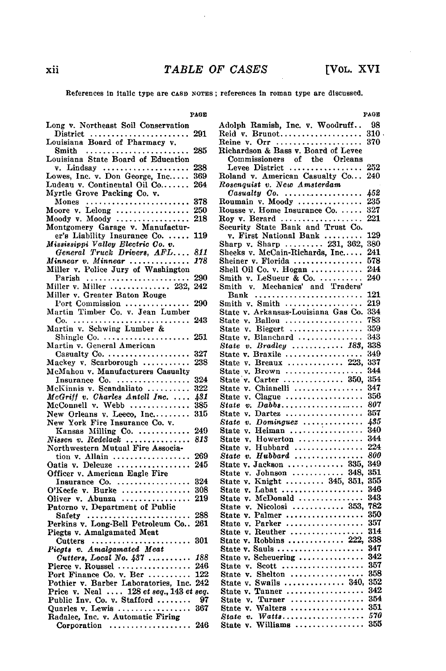$\sim$ 

References In Italic type are **CASE NOTES ;** references In roman type are discussed.

**PAGE**

| Long v. Northeast Soil Conservation                                                                                                    |     |
|----------------------------------------------------------------------------------------------------------------------------------------|-----|
| $\text{District} \quad \ldots \ldots \ldots \ldots \ldots \ldots \ldots$                                                               | 291 |
| Louisiana Board of Pharmacy v.                                                                                                         |     |
| Smith                                                                                                                                  | 285 |
| Louisiana State Board of Education                                                                                                     |     |
|                                                                                                                                        |     |
|                                                                                                                                        | 238 |
|                                                                                                                                        | 369 |
| Ludeau v. Continental Oil Co                                                                                                           | 264 |
| Myrtle Grove Packing Co. v.                                                                                                            |     |
|                                                                                                                                        | 378 |
|                                                                                                                                        | 250 |
|                                                                                                                                        | 218 |
| Montgomery Garage v. Manufactur-                                                                                                       |     |
| er's Liability Insurance Co.                                                                                                           | 119 |
|                                                                                                                                        |     |
|                                                                                                                                        |     |
| Examined Truck Drivers, AFL<br>Mississippi Valley Electric Co. v.<br>General Truck Drivers, AFL<br>Miller v. Police Jury of Washington | 811 |
|                                                                                                                                        | 178 |
|                                                                                                                                        |     |
| Parish                                                                                                                                 | 290 |
| Miller v. Miller $\,\ldots\ldots\ldots\ldots\,232,$                                                                                    | 242 |
| Miller v. Greater Baton Rouge                                                                                                          |     |
|                                                                                                                                        | 290 |
| Port Commission<br>Martin Timber Co. v. Jean Lumber                                                                                    |     |
|                                                                                                                                        |     |
|                                                                                                                                        | 243 |
| Martin v. Schwing Lumber &                                                                                                             |     |
| Shingle Co. $\ldots$                                                                                                                   | 251 |
| Martin v. General American                                                                                                             |     |
| Casualty $Co. \ldots \ldots \ldots \ldots \ldots$                                                                                      | 327 |
| Mackey v. Scarborough                                                                                                                  | 238 |
| McMahon v. Manufacturers Casualty                                                                                                      |     |
| Insurance Co.                                                                                                                          | 324 |
| McKinnis v. Scandaliato                                                                                                                | 322 |
|                                                                                                                                        | 431 |
| <i>McGriff v. Charles Antell Inc.</i><br>McConnell v. Webb                                                                             | 385 |
|                                                                                                                                        |     |
| New Orleans v. Leeco, Inc<br>New York Fire Insurance Co. v.                                                                            | 315 |
|                                                                                                                                        |     |
| Kansas Milling Co.                                                                                                                     | 249 |
| Nissen v. Redelack                                                                                                                     | 813 |
| Northwestern Mutual Fire Associa-                                                                                                      |     |
| tion v. Allain $\ldots$                                                                                                                | 269 |
| Oatis v. Delcuze                                                                                                                       | 245 |
| Officer v. American Eagle Fire                                                                                                         |     |
| Insurance Co.                                                                                                                          | 324 |
|                                                                                                                                        | 308 |
| O'Keefe v. Burke<br>Oliver v. Abunza                                                                                                   | 219 |
|                                                                                                                                        |     |
| Patorno v. Department of Public                                                                                                        | 288 |
| Safety $\ldots \ldots \ldots \ldots \ldots \ldots$                                                                                     |     |
| Perkins v. Long-Bell Petroleum Co                                                                                                      | 261 |
| Piegts v. Amalgamated Meat                                                                                                             |     |
| Cutters                                                                                                                                | 301 |
| Piegts v. Amalgamated Meat                                                                                                             |     |
| Cutters, Local No. 437                                                                                                                 | 188 |
| Pierce v. Roussel<br>Port Finance Co. v. Ber<br>Co. v. Ber                                                                             | 246 |
|                                                                                                                                        | 122 |
| Pothier v. Barber Laboratories, Inc.                                                                                                   | 242 |
| Price v. Neal  128 et seq., 143 et seq.                                                                                                |     |
| Public Inv. Co. v. Stafford                                                                                                            | -97 |
|                                                                                                                                        | 367 |
| Quarles v. Lewis<br>Radalec, Inc. v. Automatic Firing                                                                                  |     |
|                                                                                                                                        | 246 |
| Corporation $\ldots \ldots \ldots \ldots \ldots$                                                                                       |     |

**PAGE**

|                                                                                                                            | PAGE |
|----------------------------------------------------------------------------------------------------------------------------|------|
| Adolph Ramish, Inc. v. Woodruff 98                                                                                         |      |
| Reid v. Brunot 310                                                                                                         |      |
| Reine v. Orr  370                                                                                                          |      |
| Richardson & Bass v. Board of Levee                                                                                        |      |
|                                                                                                                            |      |
| Commissioners of the Orleans<br>Levee District                                                                             |      |
|                                                                                                                            | 252  |
| Roland v. American Casualty Co                                                                                             | 240  |
| Rosenquist v. New Amsterdam                                                                                                |      |
| Casualty Co.<br>Roumain v. Moody                                                                                           | 452  |
|                                                                                                                            | 235  |
| Rousse v. Home Insurance Co.                                                                                               | 327  |
|                                                                                                                            | 221  |
| Roy v. Berard<br>Security State Bank and Trust Co.                                                                         |      |
| Security State Bank and Trust Co.<br>v. First National Bank<br>Sharp v. Sharp  231, 362,<br>Sheeks v. McCain-Richards, Inc | 129  |
|                                                                                                                            |      |
|                                                                                                                            | 380  |
|                                                                                                                            | 241  |
| Sheiner v. Florida                                                                                                         | 578  |
| Shell Oil Co. v. Hogan                                                                                                     | 244  |
| Smith v. LeSueur & Co.                                                                                                     | 240  |
|                                                                                                                            |      |
|                                                                                                                            | 121  |
|                                                                                                                            | 219  |
| Smith $v.$ Smith $\ldots \ldots \ldots \ldots \ldots$                                                                      |      |
| State v. Arkansas-Louisiana Gas Co.                                                                                        | 334  |
| State v. Ballou<br>State v. Biegert                                                                                        | 783  |
|                                                                                                                            | 359  |
| State v. Blanchard                                                                                                         | 343  |
| State v. Bradley  183,                                                                                                     | 338  |
| State v. Braxile                                                                                                           | 349  |
| State v. Breaux  223,                                                                                                      | 337  |
| State v. Brown                                                                                                             | 344  |
| State v. Carter  350,                                                                                                      | 354  |
| State v. Chianelli                                                                                                         | 347  |
|                                                                                                                            | 356  |
| State $v$ . Clague $\ldots \ldots \ldots \ldots \ldots$                                                                    |      |
| State v. $Da\bar{b}b\bar{s}$                                                                                               | 807  |
| State $v.$ Dartez                                                                                                          | 357  |
| State v. Dominguez                                                                                                         | 435  |
| State v. Heiman                                                                                                            | 340  |
| State v. Howerton                                                                                                          | 344  |
| State v. Hubbard                                                                                                           | 224  |
| State $v$ . Hubbard                                                                                                        | 800  |
| State v. Jackson  335,                                                                                                     | 349  |
|                                                                                                                            | 351  |
| State v. Johnson  348,<br>State v. Knight  345, 351,                                                                       | 355  |
| State $v.$ Labat $\ldots \ldots \ldots \ldots \ldots$                                                                      | 346  |
|                                                                                                                            | 343  |
| State $v.$ McDonald $\ldots$                                                                                               | 782  |
| State v. Nicolosi  353,<br>State v. Palmer                                                                                 |      |
|                                                                                                                            | 350  |
| State v. Parker                                                                                                            | 357  |
| State v. Reuther<br>State v. Robbins  222,                                                                                 | 314  |
|                                                                                                                            | 338  |
| State v. Sauls                                                                                                             | 347  |
| State v. Scheuering                                                                                                        | 342  |
| State $v.$ Scott $$                                                                                                        | -357 |
|                                                                                                                            |      |
| State v. Shelton  358<br>State v. Swails  340, 352                                                                         |      |
|                                                                                                                            | 342  |
| State v. Tanner                                                                                                            |      |
|                                                                                                                            |      |
|                                                                                                                            |      |
|                                                                                                                            |      |
| Williams<br>State v.                                                                                                       | 355  |

xii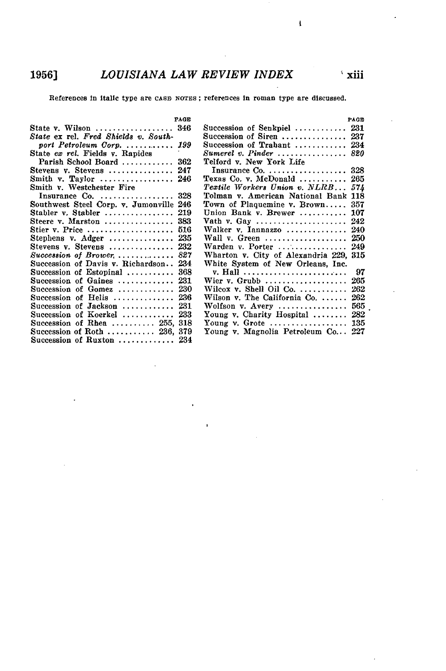References In Italic type are **cAsE NOTES** ; references In roman type are discussed.

|                                                          | PAGE |                                                                    | PAGE |
|----------------------------------------------------------|------|--------------------------------------------------------------------|------|
| State v. Wilson                                          | 346  | Succession of Senkpiel  231                                        |      |
| State ex rel. Fred Shields v. South-                     |      | Succession of Siren  237                                           |      |
| port Petroleum Corp                                      | 199  | Succession of Trabant  234                                         |      |
| State ex rel. Fields v. Rapides                          |      | $Sumerel$ v. Pinder $\ldots \ldots \ldots \ldots \ldots 820$       |      |
| Parish School Board                                      | 362  | Telford v. New York Life                                           |      |
| Stevens v. Stevens                                       | 247  |                                                                    |      |
| Smith v. Taylor $\ldots \ldots \ldots \ldots \ldots 246$ |      | Texas Co. v. McDonald $\ldots \ldots \ldots$ 265                   |      |
| Smith v. Westchester Fire                                |      | Textile Workers Union v. NLRB 574                                  |      |
| Insurance $Co. \ldots \ldots \ldots \ldots \ldots 328$   |      | Tolman v. American National Bank 118                               |      |
| Southwest Steel Corp. v. Jumonville 246                  |      | Town of Plaquemine v. Brown 357                                    |      |
| Stabler v. Stabler                                       | 219  | Union Bank v. Brewer  107                                          |      |
| Steere v. Marston  383                                   |      | Vath v. Gay $\ldots \ldots \ldots \ldots \ldots \ldots \ldots 242$ |      |
| Stier v. Price $\dots\dots\dots\dots\dots\dots\dots$     | 516  | Walker v. Iannazzo  240                                            |      |
| Stephens v. $\text{Adger}$ 235                           |      | Wall $v.$ Green $\ldots \ldots \ldots \ldots \ldots 250$           |      |
| Stevens v. Stevens  232                                  |      | Warden v. Porter $\ldots \ldots \ldots \ldots 249$                 |      |
| Succession of Brower, $\ldots$ ,                         | 827  | Wharton v. City of Alexandria 229, 315                             |      |
| Succession of Davis v. Richardson                        | -234 | White System of New Orleans, Inc.                                  |      |
| Succession of Estopinal                                  | 368  | v. Hall                                                            | 97   |
| Succession of Gaines  231                                |      | Wier v. Grubb $265$                                                |      |
| Succession of Gomez  230                                 |      | Wilcox v. Shell Oil Co. $\ldots \ldots \ldots 262$                 |      |
| Succession of Helis  236                                 |      | Wilson v. The California Co. $\ldots \ldots$ 262                   |      |
| Succession of Jackson  231                               |      | Wolfson $v.$ Avery $\ldots$                                        | 565  |
| Succession of Koerkel                                    | 233  | Young v. Charity Hospital  282                                     |      |
| Succession of Rhea $255, 318$                            |      | Young v. Grote $\dots\dots\dots\dots\dots\dots$ 135                |      |
| Succession of Roth  236, 379                             |      | Young v. Magnolia Petroleum Co 227                                 |      |
| Succession of Ruxton  234                                |      |                                                                    |      |

xiii

 $\mathbf{I}$